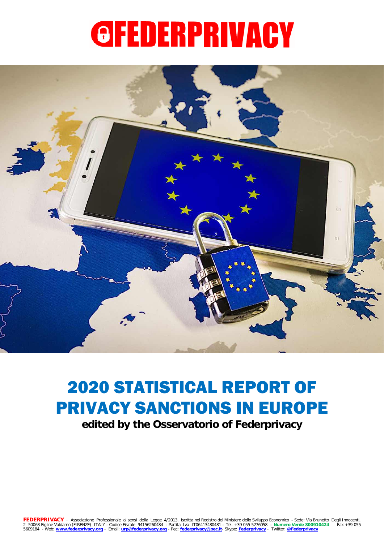<span id="page-0-0"></span>

# 2020 STATISTICAL REPORT OF PRIVACY SANCTIONS IN EUROPE

**edited by the Osservatorio of Federprivacy**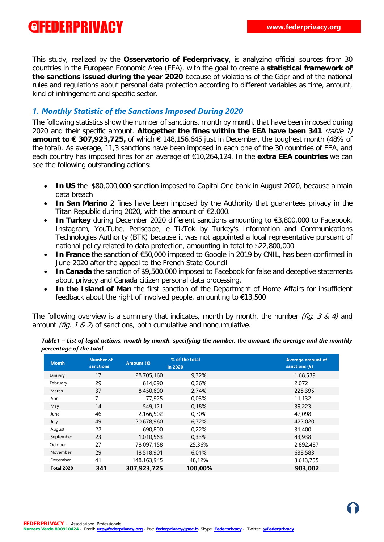This study, realized by the **Osservatorio of Federprivacy**, is analyzing official sources from 30 countries in the European Economic Area (EEA), with the goal to create a **statistical framework of the sanctions issued during the year 2020** because of violations of the Gdpr and of the national rules and regulations about personal data protection according to different variables as time, amount, kind of infringement and specific sector.

#### *1. Monthly Statistic of the Sanctions Imposed During 2020*

The following statistics show the number of sanctions, month by month, that have been imposed during 2020 and their specific amount. **Altogether the fines within the EEA have been 341** (table 1) **amount to € 307,923,725,** of which € 148,156,645 just in December, the toughest month (48% of the total). As average, 11,3 sanctions have been imposed in each one of the 30 countries of EEA, and each country has imposed fines for an average of €10,264,124. In the **extra EEA countries** we can see the following outstanding actions:

- In US the \$80,000,000 sanction imposed to Capital One bank in August 2020, because a main data breach
- **In San Marino** 2 fines have been imposed by the Authority that guarantees privacy in the Titan Republic during 2020, with the amount of €2,000.
- **In Turkey** during December 2020 different sanctions amounting to €3,800,000 to Facebook, Instagram, YouTube, Periscope, e TikTok by Turkey's Information and Communications Technologies Authority (BTK) because it was not appointed a local representative pursuant of national policy related to data protection, amounting in total to \$22,800,000
- **In France** the sanction of €50,000 imposed to Google in 2019 by CNIL, has been confirmed in June 2020 after the appeal to the French State Council
- **In Canada** the sanction of \$9,500.000 imposed to Facebook for false and deceptive statements about privacy and Canada citizen personal data processing.
- **In the Island of Man** the first sanction of the Department of Home Affairs for insufficient feedback about the right of involved people, amounting to €13,500

The following overview is a summary that indicates, month by month, the number *(fig. 3 & 4)* and amount (fig. 1 & 2) of sanctions, both cumulative and noncumulative.

| <b>Month</b>      | <b>Number of</b><br>sanctions | Amount $(E)$ | % of the total<br><b>In 2020</b> | <b>Average amount of</b><br>sanctions $(\epsilon)$ |
|-------------------|-------------------------------|--------------|----------------------------------|----------------------------------------------------|
| January           | 17                            | 28,705,160   | 9,32%                            | 1,68,539                                           |
| February          | 29                            | 814,090      | 0,26%                            | 2,072                                              |
| March             | 37                            | 8,450,600    | 2,74%                            | 228,395                                            |
| April             | 7                             | 77,925       | 0,03%                            | 11,132                                             |
| May               | 14                            | 549,121      | 0,18%                            | 39,223                                             |
| June              | 46                            | 2,166,502    | 0,70%                            | 47,098                                             |
| July              | 49                            | 20,678,960   | 6.72%                            | 422,020                                            |
| August            | 22                            | 690,800      | 0.22%                            | 31,400                                             |
| September         | 23                            | 1,010,563    | 0,33%                            | 43,938                                             |
| October           | 27                            | 78,097,158   | 25,36%                           | 2,892,487                                          |
| November          | 29                            | 18,518,901   | 6.01%                            | 638,583                                            |
| December          | 41                            | 148,163,945  | 48,12%                           | 3,613,755                                          |
| <b>Total 2020</b> | 341                           | 307,923,725  | 100,00%                          | 903,002                                            |

*Table1 – List of legal actions, month by month, specifying the number, the amount, the average and the monthly percentage of the total*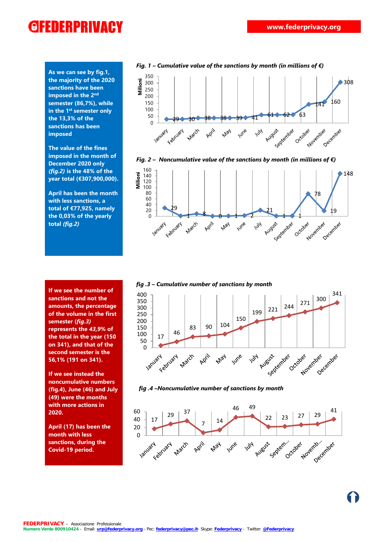**As we can see by fig.1, the majority of the 2020 sanctions have been imposed in the 2nd semester (86,7%), while in the 1st semester only the 13,3% of the sanctions has been imposed**

**The value of the fines imposed in the month of December 2020 only**  *(fig.2)* **is the 48% of the year total (€307,900,000).**

**April has been the month with less sanctions, a total of €77,925, namely the 0,03% of the yearly total** *(fig.2)*

**If we see the number of sanctions and not the amounts, the percentage of the volume in the first semester (***fig.3)*  **represents the** *43,9***% of the total in the year (150 on 341), and that of the second semester is the 56,1% (191 on 341).**

**If we see instead the noncumulative numbers (fig.4), June (46) and July (49) were the months with more actions in 2020.**

**April (17) has been the month with less sanctions, during the Covid-19 period.**











 *fig .4 –Noncumulative number of sanctions by month*

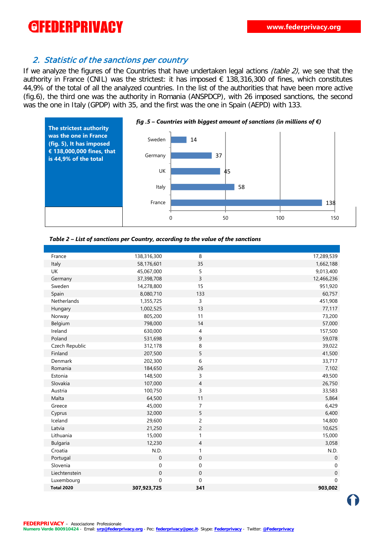#### 2. Statistic of the sanctions per country

If we analyze the figures of the Countries that have undertaken legal actions *(table 2)*, we see that the authority in France (CNIL) was the strictest: it has imposed € 138,316,300 of fines, which constitutes 44,9% of the total of all the analyzed countries. In the list of the authorities that have been more active (fig.6), the third one was the authority in Romania (ANSPDCP), with 26 imposed sanctions, the second was the one in Italy (GPDP) with 35, and the first was the one in Spain (AEPD) with 133.



#### *Table 2 – List of sanctions per Country, according to the value of the sanctions*

| France            | 138,316,300  | 8                | 17,289,539   |
|-------------------|--------------|------------------|--------------|
| Italy             | 58,176,601   | 35               | 1,662,188    |
| <b>UK</b>         | 45,067,000   | 5                | 9,013,400    |
| Germany           | 37,398,708   | 3                | 12,466,236   |
| Sweden            | 14,278,800   | 15               | 951,920      |
| Spain             | 8,080,710    | 133              | 60,757       |
| Netherlands       | 1,355,725    | $\overline{3}$   | 451,908      |
| Hungary           | 1,002,525    | 13               | 77,117       |
| Norway            | 805,200      | 11               | 73,200       |
| Belgium           | 798,000      | 14               | 57,000       |
| Ireland           | 630,000      | 4                | 157,500      |
| Poland            | 531,698      | 9                | 59,078       |
| Czech Republic    | 312,178      | 8                | 39,022       |
| Finland           | 207,500      | 5                | 41,500       |
| Denmark           | 202,300      | 6                | 33,717       |
| Romania           | 184,650      | 26               | 7,102        |
| Estonia           | 148,500      | 3                | 49,500       |
| Slovakia          | 107,000      | $\overline{4}$   | 26,750       |
| Austria           | 100,750      | 3                | 33,583       |
| Malta             | 64,500       | 11               | 5,864        |
| Greece            | 45,000       | $\overline{7}$   | 6,429        |
| Cyprus            | 32,000       | 5                | 6,400        |
| Iceland           | 29,600       | $\overline{c}$   | 14,800       |
| Latvia            | 21,250       | $\overline{c}$   | 10,625       |
| Lithuania         | 15,000       | $\mathbf{1}$     | 15,000       |
| Bulgaria          | 12,230       | 4                | 3,058        |
| Croatia           | N.D.         | $\mathbf{1}$     | N.D.         |
| Portugal          | $\mathbf 0$  | $\mathbf 0$      | $\mathbf{0}$ |
| Slovenia          | $\mathbf 0$  | $\boldsymbol{0}$ | $\pmb{0}$    |
| Liechtenstein     | $\mathbf{0}$ | $\mathbf 0$      | $\mbox{O}$   |
| Luxembourg        | $\Omega$     | $\mathbf 0$      | $\mathbf 0$  |
| <b>Total 2020</b> | 307,923,725  | 341              | 903.002      |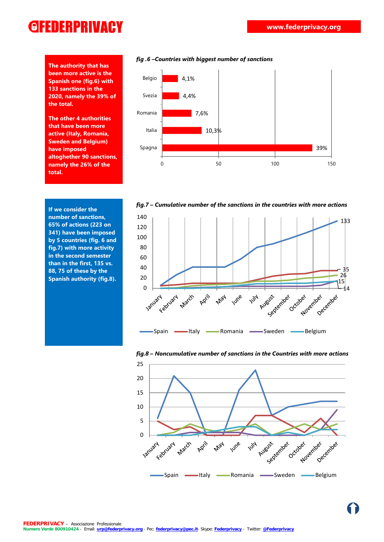**The authority that has been more active is the Spanish one (fig.6) with 133 sanctions in the 2020, namely the 39% of the total.**

**The other 4 authorities that have been more active (Italy, Romania, Sweden and Belgium) have imposed altoghether 90 sanctions, namely the 26% of the total.**



*fig.7 – Cumulative number of the sanctions in the countries with more actions*

**If we consider the number of sanctions, 65% of actions (223 on 341) have been imposed by 5 countries (fig. 6 and fig.7) with more activity in the second semester than in the first, 135 vs. 88, 75 of these by the Spanish authority (fig.8).**





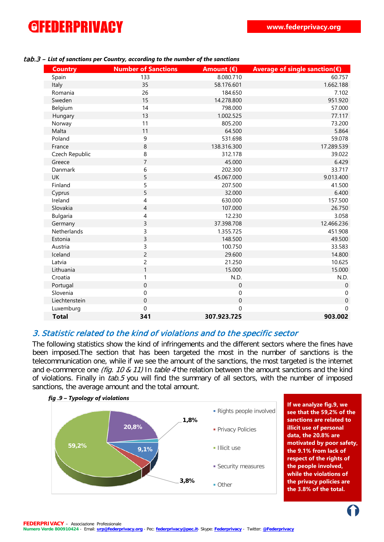| <b>Country</b>  | <b>Number of Sanctions</b> | Amount $(E)$ | Average of single sanction( $\varepsilon$ ) |
|-----------------|----------------------------|--------------|---------------------------------------------|
| Spain           | 133                        | 8.080.710    | 60.757                                      |
| Italy           | 35                         | 58.176.601   | 1.662.188                                   |
| Romania         | 26                         | 184.650      | 7.102                                       |
| Sweden          | 15                         | 14.278.800   | 951.920                                     |
| Belgium         | 14                         | 798.000      | 57.000                                      |
| Hungary         | 13                         | 1.002.525    | 77.117                                      |
| Norway          | 11                         | 805.200      | 73.200                                      |
| Malta           | 11                         | 64.500       | 5.864                                       |
| Poland          | 9                          | 531.698      | 59.078                                      |
| France          | 8                          | 138.316.300  | 17.289.539                                  |
| Czech Republic  | 8                          | 312.178      | 39.022                                      |
| Greece          | $\overline{7}$             | 45.000       | 6.429                                       |
| Danmark         | 6                          | 202.300      | 33.717                                      |
| <b>UK</b>       | 5                          | 45.067.000   | 9.013.400                                   |
| Finland         | 5                          | 207.500      | 41.500                                      |
| Cyprus          | 5                          | 32.000       | 6.400                                       |
| Ireland         | 4                          | 630.000      | 157.500                                     |
| Slovakia        | $\overline{4}$             | 107.000      | 26.750                                      |
| <b>Bulgaria</b> | 4                          | 12.230       | 3.058                                       |
| Germany         | 3                          | 37.398.708   | 12.466.236                                  |
| Netherlands     | 3                          | 1.355.725    | 451.908                                     |
| Estonia         | 3                          | 148.500      | 49.500                                      |
| Austria         | 3                          | 100.750      | 33.583                                      |
| Iceland         | $\overline{c}$             | 29.600       | 14.800                                      |
| Latvia          | $\overline{c}$             | 21.250       | 10.625                                      |
| Lithuania       | $\mathbf{1}$               | 15.000       | 15.000                                      |
| Croatia         | $\mathbf{1}$               | N.D.         | N.D.                                        |
| Portugal        | $\mathbf 0$                | $\pmb{0}$    | $\mathbf 0$                                 |
| Slovenia        | 0                          | 0            | $\pmb{0}$                                   |
| Liechtenstein   | $\mathbf 0$                | $\mathbf 0$  | $\boldsymbol{0}$                            |
| Luxemburg       | $\mathbf 0$                | $\mathbf 0$  | $\Omega$                                    |
| <b>Total</b>    | 341                        | 307.923.725  | 903.002                                     |

#### tab.3 – *List of sanctions per Country, according to the number of the sanctions*

#### 3. Statistic related to the kind of violations and to the specific sector

The following statistics show the kind of infringements and the different sectors where the fines have been imposed.The section that has been targeted the most in the number of sanctions is the telecommunication one, while if we see the amount of the sanctions, the most targeted is the internet and e-commerce one *(fig. 10 & 11)* In *table 4* the relation between the amount sanctions and the kind of violations. Finally in tab.5 you will find the summary of all sectors, with the number of imposed sanctions, the average amount and the total amount.



**If we analyze fig.9, we see that the 59,2% of the sanctions are related to illicit use of personal data, the 20.8% are motivated by poor safety, the 9.1% from lack of respect of the rights of the people involved, while the violations of the privacy policies are the 3.8% of the total.**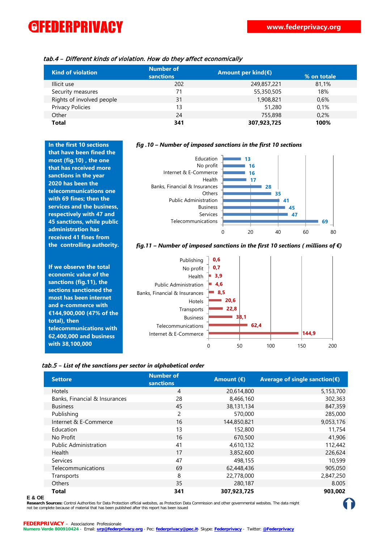| tab.4 – Different kinds of violation. How do they affect economically |  |  |
|-----------------------------------------------------------------------|--|--|
|-----------------------------------------------------------------------|--|--|

| <b>Kind of violation</b>  | <b>Number of</b><br>sanctions | Amount per kind( $\varepsilon$ ) | % on totale |
|---------------------------|-------------------------------|----------------------------------|-------------|
| Illicit use               | 202                           | 249,857,221                      | 81,1%       |
| Security measures         | 71                            | 55,350,505                       | 18%         |
| Rights of involved people | 31                            | 1,908,821                        | 0.6%        |
| Privacy Policies          | 13                            | 51,280                           | 0.1%        |
| Other                     | 24                            | 755,898                          | 0.2%        |
| <b>Total</b>              | 341                           | 307,923,725                      | 100%        |

**In the first 10 sections that have been fined the most (fig.10) , the one that has received more sanctions in the year 2020 has been the telecommunications one with 69 fines; then the services and the business, respectively with 47 and 45 sanctions, while public administration has received 41 fines from the controlling authority.**

**If we observe the total economic value of the sanctions (fig.11), the sections sanctioned the most has been internet and e-commerce with €144,900,000 (47% of the total), then telecommunications with 62,400,000 and business with 38,100,000**

#### *fig .10 – Number of imposed sanctions in the first 10 sections*



#### *fig.11 – Number of imposed sanctions in the first 10 sections ( millions of €)*



#### tab.5 – *List of the sanctions per sector in alphabetical order*

| <b>Settore</b>                | <b>Number of</b><br>sanctions | Amount $(E)$ | Average of single sanction( $\varepsilon$ ) |
|-------------------------------|-------------------------------|--------------|---------------------------------------------|
| <b>Hotels</b>                 | 4                             | 20,614,800   | 5,153,700                                   |
| Banks, Financial & Insurances | 28                            | 8,466,160    | 302,363                                     |
| <b>Business</b>               | 45                            | 38,131,134   | 847,359                                     |
| Publishing                    | 2                             | 570,000      | 285,000                                     |
| Internet & E-Commerce         | 16                            | 144,850,821  | 9,053,176                                   |
| Education                     | 13                            | 152,800      | 11,754                                      |
| No Profit                     | 16                            | 670,500      | 41,906                                      |
| <b>Public Administration</b>  | 41                            | 4,610,132    | 112,442                                     |
| Health                        | 17                            | 3,852,600    | 226,624                                     |
| <b>Services</b>               | 47                            | 498,155      | 10,599                                      |
| Telecommunications            | 69                            | 62,448,436   | 905,050                                     |
| Transports                    | 8                             | 22,778,000   | 2,847,250                                   |
| <b>Others</b>                 | 35                            | 280,187      | 8.005                                       |
| <b>Total</b>                  | 341                           | 307,923,725  | 903,002                                     |

#### **E & OE**

**Research Sources:** Control Authorities for Data Protection official websites, as Protection Data Commission and other governmental websites. The data might E & OE<br>Research Sources: Control Authorities for Data Protection official websites, as Protection Data Commission and other governmental websites. The data might (CO)